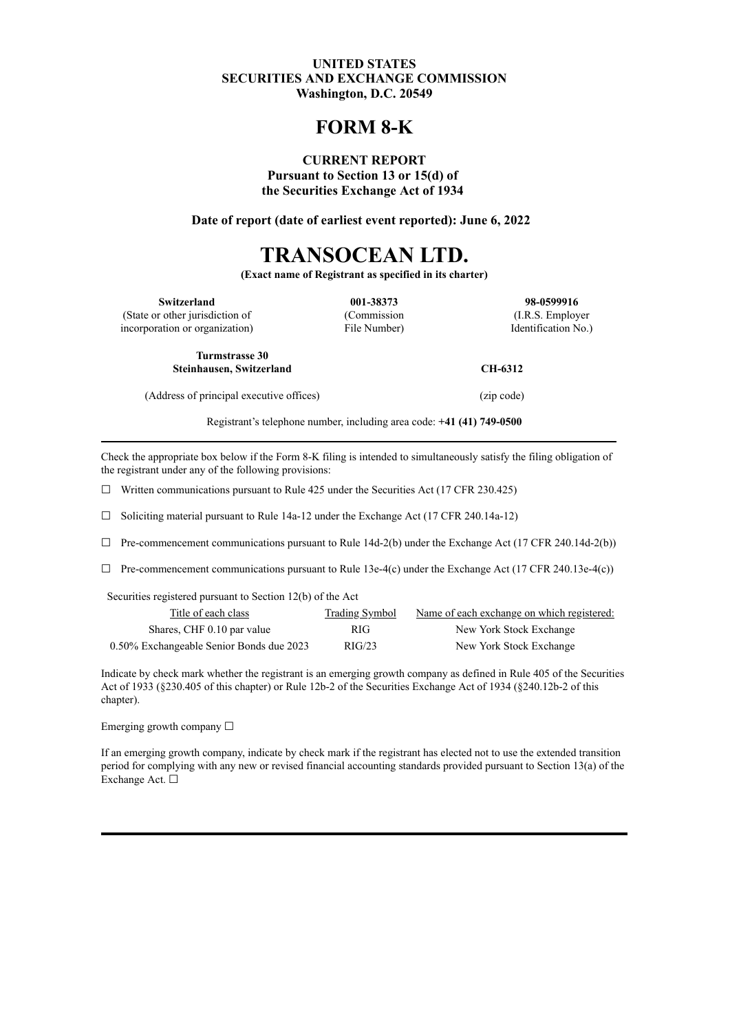#### **UNITED STATES SECURITIES AND EXCHANGE COMMISSION Washington, D.C. 20549**

# **FORM 8-K**

#### **CURRENT REPORT Pursuant to Section 13 or 15(d) of the Securities Exchange Act of 1934**

**Date of report (date of earliest event reported): June 6, 2022** 

# **TRANSOCEAN LTD.**

**(Exact name of Registrant as specified in its charter)**

**Switzerland 001-38373 98-0599916**

(State or other jurisdiction of (Commission (I.R.S. Employer incorporation or organization) File Number) Identification No.)

**Turmstrasse 30 Steinhausen, Switzerland CH-6312**

(Address of principal executive offices) (zip code)

Registrant's telephone number, including area code: **+41 (41) 749-0500**

Check the appropriate box below if the Form 8-K filing is intended to simultaneously satisfy the filing obligation of the registrant under any of the following provisions:

☐ Written communications pursuant to Rule 425 under the Securities Act (17 CFR 230.425)

☐ Soliciting material pursuant to Rule 14a-12 under the Exchange Act (17 CFR 240.14a-12)

 $\Box$  Pre-commencement communications pursuant to Rule 14d-2(b) under the Exchange Act (17 CFR 240.14d-2(b))

☐ Pre-commencement communications pursuant to Rule 13e-4(c) under the Exchange Act (17 CFR 240.13e-4(c))

Securities registered pursuant to Section 12(b) of the Act

| Title of each class                      | <b>Trading Symbol</b> | Name of each exchange on which registered: |
|------------------------------------------|-----------------------|--------------------------------------------|
| Shares, CHF 0.10 par value               | RIG-                  | New York Stock Exchange                    |
| 0.50% Exchangeable Senior Bonds due 2023 | RIG/23                | New York Stock Exchange                    |

Indicate by check mark whether the registrant is an emerging growth company as defined in Rule 405 of the Securities Act of 1933 (§230.405 of this chapter) or Rule 12b-2 of the Securities Exchange Act of 1934 (§240.12b-2 of this chapter).

Emerging growth company  $\Box$ 

If an emerging growth company, indicate by check mark if the registrant has elected not to use the extended transition period for complying with any new or revised financial accounting standards provided pursuant to Section 13(a) of the Exchange Act. ☐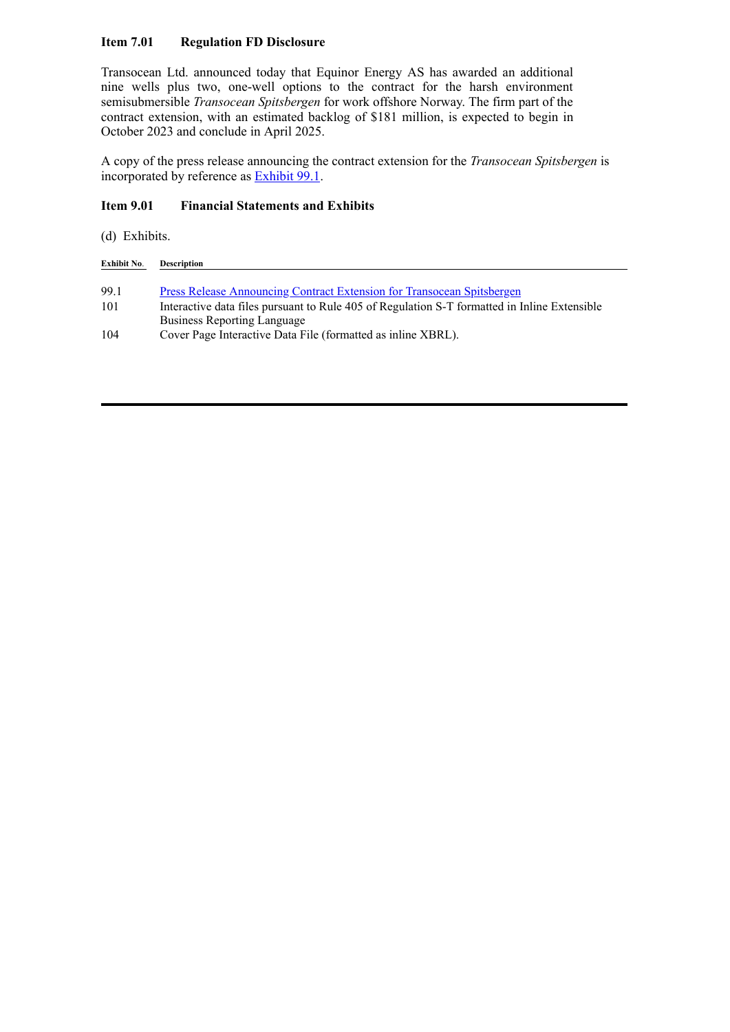## **Item 7.01 Regulation FD Disclosure**

Transocean Ltd. announced today that Equinor Energy AS has awarded an additional nine wells plus two, one-well options to the contract for the harsh environment semisubmersible *Transocean Spitsbergen* for work offshore Norway. The firm part of the contract extension, with an estimated backlog of \$181 million, is expected to begin in October 2023 and conclude in April 2025.

A copy of the press release announcing the contract extension for the *Transocean Spitsbergen* is incorporated by reference as [Exhibit 99.1](#page-3-0).

### **Item 9.01 Financial Statements and Exhibits**

(d) Exhibits.

| <b>Exhibit No.</b> | <b>Description</b>                                                                           |
|--------------------|----------------------------------------------------------------------------------------------|
|                    |                                                                                              |
| 99.1               | <b>Press Release Announcing Contract Extension for Transocean Spitsbergen</b>                |
| 101                | Interactive data files pursuant to Rule 405 of Regulation S-T formatted in Inline Extensible |
|                    | <b>Business Reporting Language</b>                                                           |
| 104                | Cover Page Interactive Data File (formatted as inline XBRL).                                 |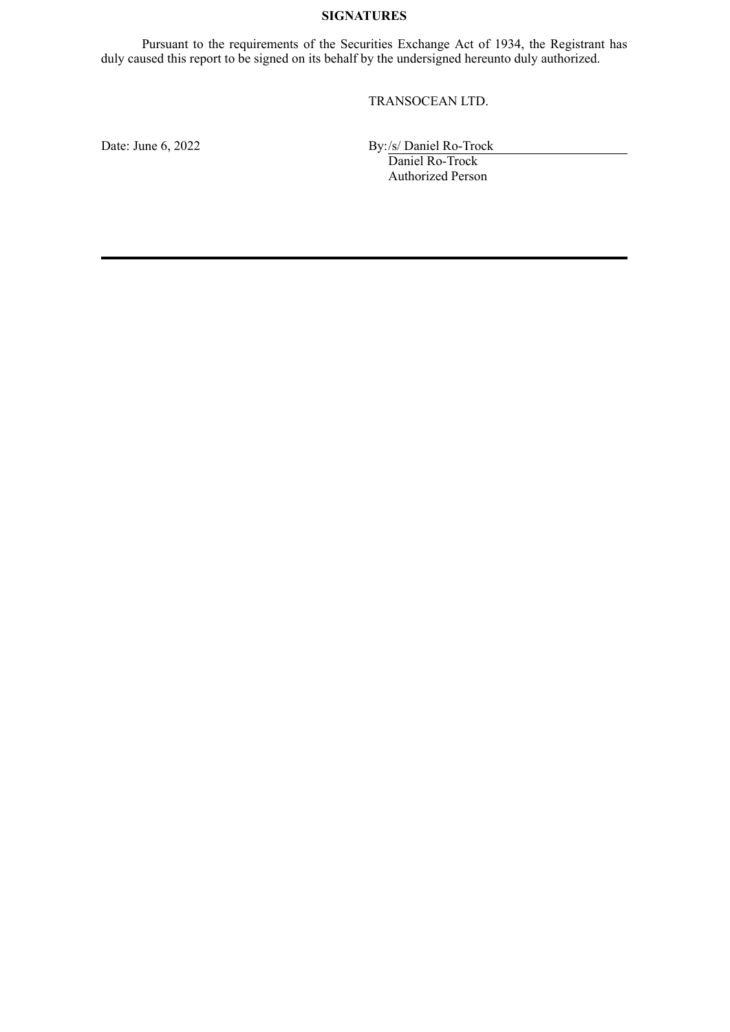#### **SIGNATURES**

Pursuant to the requirements of the Securities Exchange Act of 1934, the Registrant has duly caused this report to be signed on its behalf by the undersigned hereunto duly authorized.

## TRANSOCEAN LTD.

Date: June 6, 2022 By:/s/ Daniel Ro-Trock

Daniel Ro-Trock Authorized Person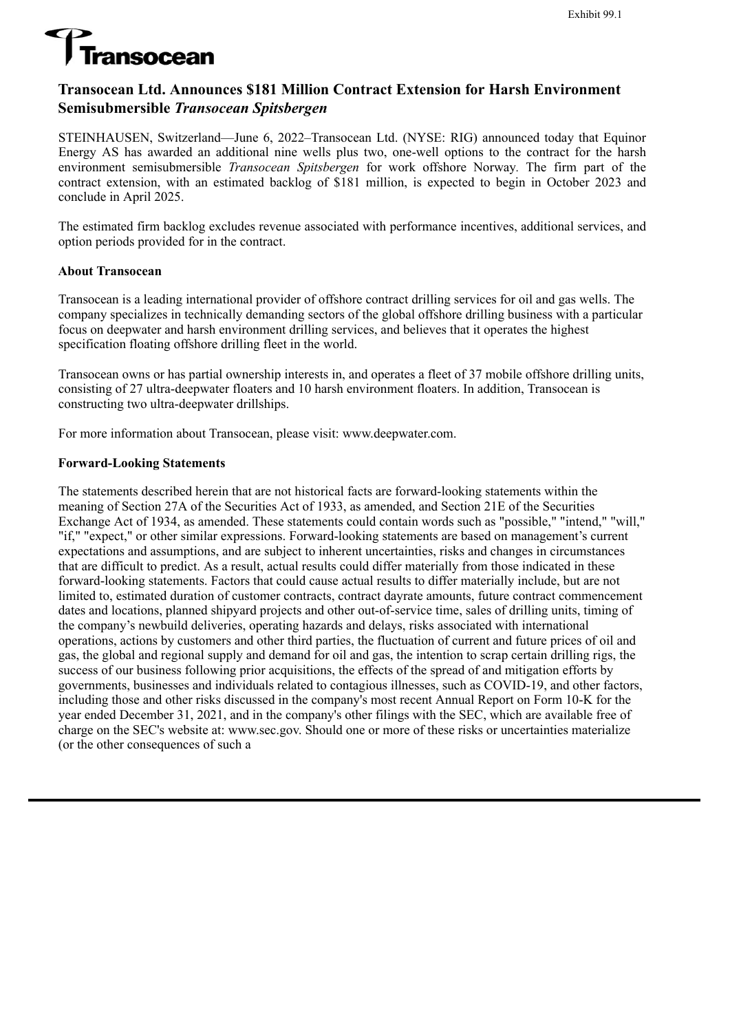<span id="page-3-0"></span>

# **Transocean Ltd. Announces \$181 Million Contract Extension for Harsh Environment Semisubmersible** *Transocean Spitsbergen*

STEINHAUSEN, Switzerland—June 6, 2022–Transocean Ltd. (NYSE: RIG) announced today that Equinor Energy AS has awarded an additional nine wells plus two, one-well options to the contract for the harsh environment semisubmersible *Transocean Spitsbergen* for work offshore Norway*.* The firm part of the contract extension, with an estimated backlog of \$181 million, is expected to begin in October 2023 and conclude in April 2025.

The estimated firm backlog excludes revenue associated with performance incentives, additional services, and option periods provided for in the contract.

#### **About Transocean**

Transocean is a leading international provider of offshore contract drilling services for oil and gas wells. The company specializes in technically demanding sectors of the global offshore drilling business with a particular focus on deepwater and harsh environment drilling services, and believes that it operates the highest specification floating offshore drilling fleet in the world.

Transocean owns or has partial ownership interests in, and operates a fleet of 37 mobile offshore drilling units, consisting of 27 ultra-deepwater floaters and 10 harsh environment floaters. In addition, Transocean is constructing two ultra-deepwater drillships.

For more information about Transocean, please visit: www.deepwater.com.

#### **Forward-Looking Statements**

The statements described herein that are not historical facts are forward-looking statements within the meaning of Section 27A of the Securities Act of 1933, as amended, and Section 21E of the Securities Exchange Act of 1934, as amended. These statements could contain words such as "possible," "intend," "will," "if," "expect," or other similar expressions. Forward-looking statements are based on management's current expectations and assumptions, and are subject to inherent uncertainties, risks and changes in circumstances that are difficult to predict. As a result, actual results could differ materially from those indicated in these forward-looking statements. Factors that could cause actual results to differ materially include, but are not limited to, estimated duration of customer contracts, contract dayrate amounts, future contract commencement dates and locations, planned shipyard projects and other out-of-service time, sales of drilling units, timing of the company's newbuild deliveries, operating hazards and delays, risks associated with international operations, actions by customers and other third parties, the fluctuation of current and future prices of oil and gas, the global and regional supply and demand for oil and gas, the intention to scrap certain drilling rigs, the success of our business following prior acquisitions, the effects of the spread of and mitigation efforts by governments, businesses and individuals related to contagious illnesses, such as COVID-19, and other factors, including those and other risks discussed in the company's most recent Annual Report on Form 10-K for the year ended December 31, 2021, and in the company's other filings with the SEC, which are available free of charge on the SEC's website at: www.sec.gov. Should one or more of these risks or uncertainties materialize (or the other consequences of such a